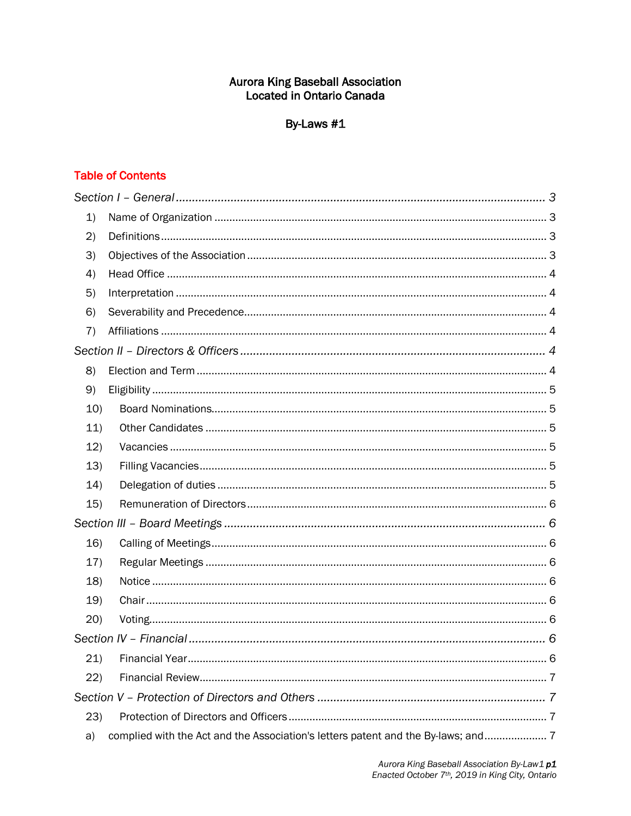# **Aurora King Baseball Association** Located in Ontario Canada

# By-Laws #1

# **Table of Contents**

| 1)   |                                                                                   |  |
|------|-----------------------------------------------------------------------------------|--|
| (2)  |                                                                                   |  |
| 3)   |                                                                                   |  |
| 4)   |                                                                                   |  |
| 5)   |                                                                                   |  |
| 6)   |                                                                                   |  |
| 7)   |                                                                                   |  |
|      |                                                                                   |  |
| 8)   |                                                                                   |  |
| 9)   |                                                                                   |  |
| 10)  |                                                                                   |  |
| 11)  |                                                                                   |  |
| 12)  |                                                                                   |  |
| 13)  |                                                                                   |  |
| 14)  |                                                                                   |  |
| 15)  |                                                                                   |  |
|      |                                                                                   |  |
| 16)  |                                                                                   |  |
| 17)  |                                                                                   |  |
| 18)  |                                                                                   |  |
| 19)  |                                                                                   |  |
| 20)  |                                                                                   |  |
|      |                                                                                   |  |
| 21)  |                                                                                   |  |
| 22)  |                                                                                   |  |
|      |                                                                                   |  |
| (23) |                                                                                   |  |
| a)   | complied with the Act and the Association's letters patent and the By-laws; and 7 |  |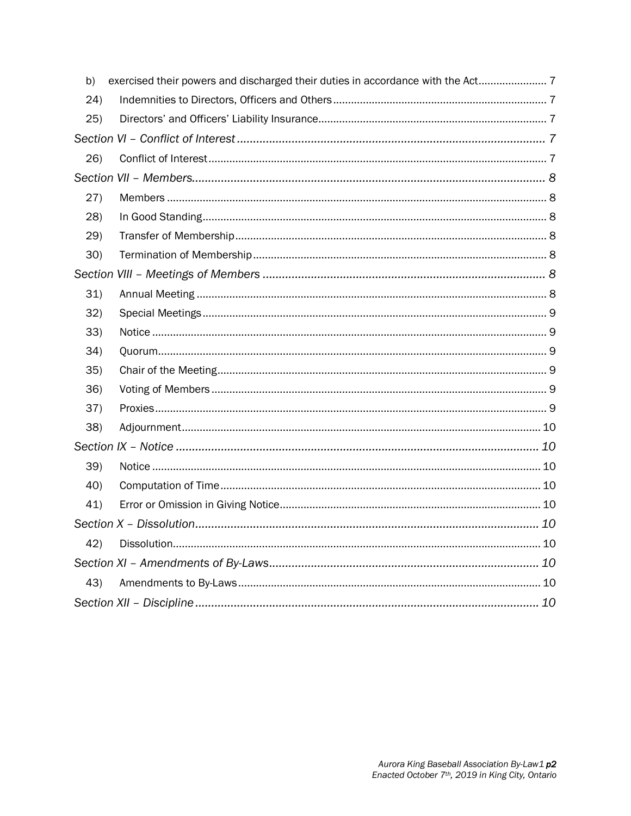| b)   | exercised their powers and discharged their duties in accordance with the Act |  |  |
|------|-------------------------------------------------------------------------------|--|--|
| (24) |                                                                               |  |  |
| 25)  |                                                                               |  |  |
|      |                                                                               |  |  |
| 26)  |                                                                               |  |  |
|      |                                                                               |  |  |
| (27) |                                                                               |  |  |
| (28) |                                                                               |  |  |
| 29)  |                                                                               |  |  |
| 30)  |                                                                               |  |  |
|      |                                                                               |  |  |
| 31)  |                                                                               |  |  |
| 32)  |                                                                               |  |  |
| 33)  |                                                                               |  |  |
| 34)  |                                                                               |  |  |
| 35)  |                                                                               |  |  |
| 36)  |                                                                               |  |  |
| 37)  |                                                                               |  |  |
| 38)  |                                                                               |  |  |
|      |                                                                               |  |  |
| 39)  |                                                                               |  |  |
| 40)  |                                                                               |  |  |
| 41)  |                                                                               |  |  |
|      |                                                                               |  |  |
| 42)  |                                                                               |  |  |
|      |                                                                               |  |  |
| 43)  |                                                                               |  |  |
|      |                                                                               |  |  |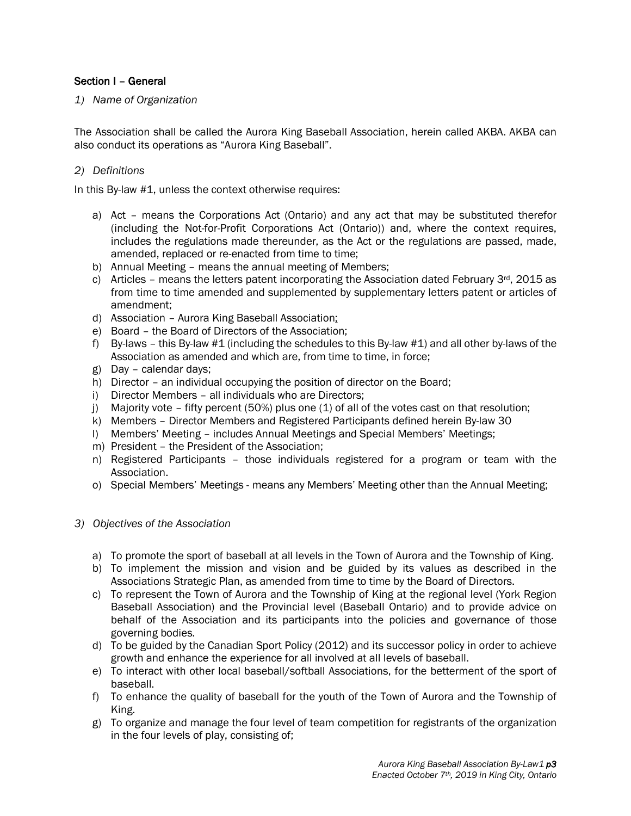# Section I – General

*1) Name of Organization*

The Association shall be called the Aurora King Baseball Association, herein called AKBA. AKBA can also conduct its operations as "Aurora King Baseball".

# *2) Definitions*

In this By-law #1, unless the context otherwise requires:

- a) Act means the Corporations Act (Ontario) and any act that may be substituted therefor (including the Not-for-Profit Corporations Act (Ontario)) and, where the context requires, includes the regulations made thereunder, as the Act or the regulations are passed, made, amended, replaced or re-enacted from time to time;
- b) Annual Meeting means the annual meeting of Members;
- c) Articles means the letters patent incorporating the Association dated February  $3^{rd}$ , 2015 as from time to time amended and supplemented by supplementary letters patent or articles of amendment;
- d) Association Aurora King Baseball Association;
- e) Board the Board of Directors of the Association;
- f) By-laws this By-law #1 (including the schedules to this By-law #1) and all other by-laws of the Association as amended and which are, from time to time, in force;
- g) Day calendar days;
- h) Director an individual occupying the position of director on the Board;
- i) Director Members all individuals who are Directors;
- j) Majority vote fifty percent (50%) plus one (1) of all of the votes cast on that resolution:
- k) Members Director Members and Registered Participants defined herein By-law 30
- l) Members' Meeting includes Annual Meetings and Special Members' Meetings;
- m) President the President of the Association;
- n) Registered Participants those individuals registered for a program or team with the Association.
- o) Special Members' Meetings means any Members' Meeting other than the Annual Meeting;

### *3) Objectives of the Association*

- a) To promote the sport of baseball at all levels in the Town of Aurora and the Township of King.
- b) To implement the mission and vision and be guided by its values as described in the Associations Strategic Plan, as amended from time to time by the Board of Directors.
- c) To represent the Town of Aurora and the Township of King at the regional level (York Region Baseball Association) and the Provincial level (Baseball Ontario) and to provide advice on behalf of the Association and its participants into the policies and governance of those governing bodies.
- d) To be guided by the Canadian Sport Policy (2012) and its successor policy in order to achieve growth and enhance the experience for all involved at all levels of baseball.
- e) To interact with other local baseball/softball Associations, for the betterment of the sport of baseball.
- f) To enhance the quality of baseball for the youth of the Town of Aurora and the Township of King.
- g) To organize and manage the four level of team competition for registrants of the organization in the four levels of play, consisting of;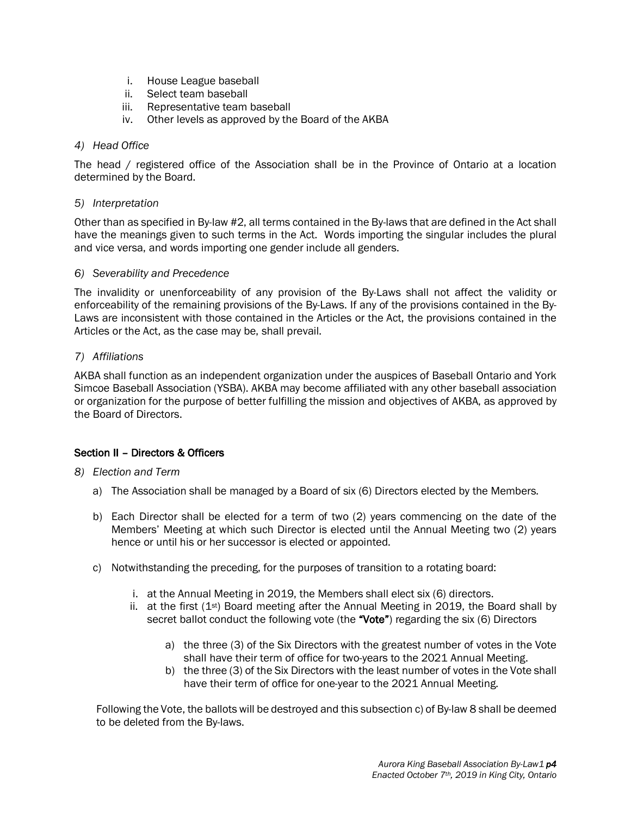- i. House League baseball
- ii. Select team baseball
- iii. Representative team baseball
- iv. Other levels as approved by the Board of the AKBA

# *4) Head Office*

The head / registered office of the Association shall be in the Province of Ontario at a location determined by the Board.

## *5) Interpretation*

Other than as specified in By-law #2, all terms contained in the By-laws that are defined in the Act shall have the meanings given to such terms in the Act. Words importing the singular includes the plural and vice versa, and words importing one gender include all genders.

### *6) Severability and Precedence*

The invalidity or unenforceability of any provision of the By-Laws shall not affect the validity or enforceability of the remaining provisions of the By-Laws. If any of the provisions contained in the By-Laws are inconsistent with those contained in the Articles or the Act, the provisions contained in the Articles or the Act, as the case may be, shall prevail.

# *7) Affiliations*

AKBA shall function as an independent organization under the auspices of Baseball Ontario and York Simcoe Baseball Association (YSBA). AKBA may become affiliated with any other baseball association or organization for the purpose of better fulfilling the mission and objectives of AKBA, as approved by the Board of Directors.

# Section II – Directors & Officers

# *8) Election and Term*

- a) The Association shall be managed by a Board of six (6) Directors elected by the Members.
- b) Each Director shall be elected for a term of two (2) years commencing on the date of the Members' Meeting at which such Director is elected until the Annual Meeting two (2) years hence or until his or her successor is elected or appointed.
- c) Notwithstanding the preceding, for the purposes of transition to a rotating board:
	- i. at the Annual Meeting in 2019, the Members shall elect six (6) directors.
	- ii. at the first  $(1^{st})$  Board meeting after the Annual Meeting in 2019, the Board shall by secret ballot conduct the following vote (the "Vote") regarding the six (6) Directors
		- a) the three (3) of the Six Directors with the greatest number of votes in the Vote shall have their term of office for two-years to the 2021 Annual Meeting.
		- b) the three (3) of the Six Directors with the least number of votes in the Vote shall have their term of office for one-year to the 2021 Annual Meeting.

Following the Vote, the ballots will be destroyed and this subsection c) of By-law 8 shall be deemed to be deleted from the By-laws.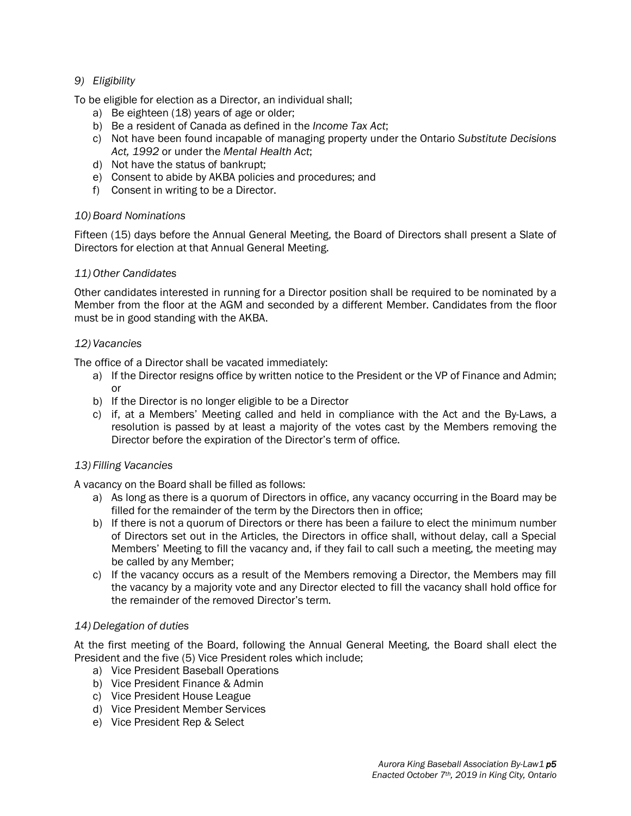# *9) Eligibility*

To be eligible for election as a Director, an individual shall;

- a) Be eighteen (18) years of age or older;
- b) Be a resident of Canada as defined in the *Income Tax Act*;
- c) Not have been found incapable of managing property under the Ontario *Substitute Decisions Act, 1992* or under the *Mental Health Act*;
- d) Not have the status of bankrupt;
- e) Consent to abide by AKBA policies and procedures; and
- f) Consent in writing to be a Director.

# *10) Board Nominations*

Fifteen (15) days before the Annual General Meeting, the Board of Directors shall present a Slate of Directors for election at that Annual General Meeting.

# *11) Other Candidates*

Other candidates interested in running for a Director position shall be required to be nominated by a Member from the floor at the AGM and seconded by a different Member. Candidates from the floor must be in good standing with the AKBA.

# *12) Vacancies*

The office of a Director shall be vacated immediately:

- a) If the Director resigns office by written notice to the President or the VP of Finance and Admin; or
- b) If the Director is no longer eligible to be a Director
- c) if, at a Members' Meeting called and held in compliance with the Act and the By-Laws, a resolution is passed by at least a majority of the votes cast by the Members removing the Director before the expiration of the Director's term of office.

# *13) Filling Vacancies*

A vacancy on the Board shall be filled as follows:

- a) As long as there is a quorum of Directors in office, any vacancy occurring in the Board may be filled for the remainder of the term by the Directors then in office;
- b) If there is not a quorum of Directors or there has been a failure to elect the minimum number of Directors set out in the Articles, the Directors in office shall, without delay, call a Special Members' Meeting to fill the vacancy and, if they fail to call such a meeting, the meeting may be called by any Member;
- c) If the vacancy occurs as a result of the Members removing a Director, the Members may fill the vacancy by a majority vote and any Director elected to fill the vacancy shall hold office for the remainder of the removed Director's term.

# *14) Delegation of duties*

At the first meeting of the Board, following the Annual General Meeting, the Board shall elect the President and the five (5) Vice President roles which include;

- a) Vice President Baseball Operations
- b) Vice President Finance & Admin
- c) Vice President House League
- d) Vice President Member Services
- e) Vice President Rep & Select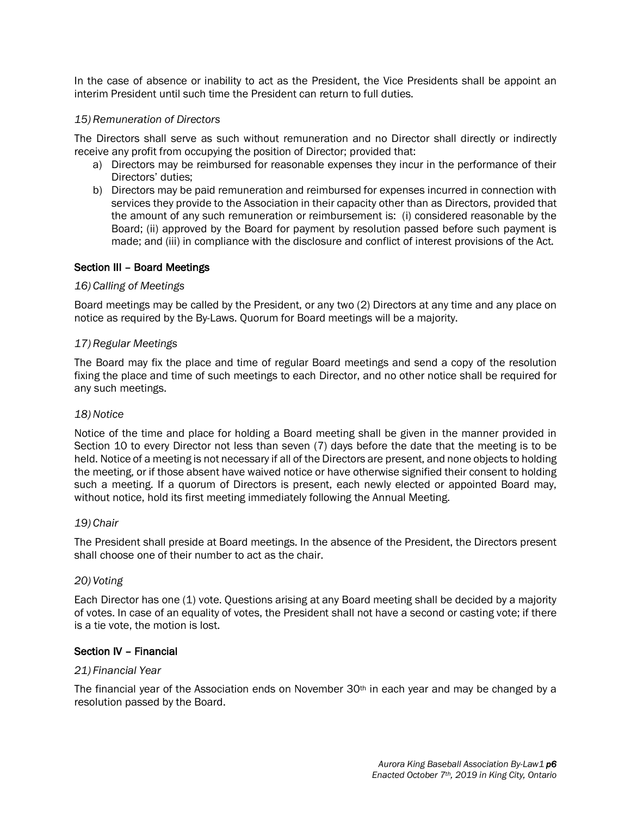In the case of absence or inability to act as the President, the Vice Presidents shall be appoint an interim President until such time the President can return to full duties.

## *15) Remuneration of Directors*

The Directors shall serve as such without remuneration and no Director shall directly or indirectly receive any profit from occupying the position of Director; provided that:

- a) Directors may be reimbursed for reasonable expenses they incur in the performance of their Directors' duties;
- b) Directors may be paid remuneration and reimbursed for expenses incurred in connection with services they provide to the Association in their capacity other than as Directors, provided that the amount of any such remuneration or reimbursement is: (i) considered reasonable by the Board; (ii) approved by the Board for payment by resolution passed before such payment is made; and (iii) in compliance with the disclosure and conflict of interest provisions of the Act.

### Section III – Board Meetings

### *16) Calling of Meetings*

Board meetings may be called by the President, or any two (2) Directors at any time and any place on notice as required by the By-Laws. Quorum for Board meetings will be a majority.

### *17) Regular Meetings*

The Board may fix the place and time of regular Board meetings and send a copy of the resolution fixing the place and time of such meetings to each Director, and no other notice shall be required for any such meetings.

### *18)Notice*

Notice of the time and place for holding a Board meeting shall be given in the manner provided in Section 10 to every Director not less than seven (7) days before the date that the meeting is to be held. Notice of a meeting is not necessary if all of the Directors are present, and none objects to holding the meeting, or if those absent have waived notice or have otherwise signified their consent to holding such a meeting. If a quorum of Directors is present, each newly elected or appointed Board may, without notice, hold its first meeting immediately following the Annual Meeting.

### *19) Chair*

The President shall preside at Board meetings. In the absence of the President, the Directors present shall choose one of their number to act as the chair.

### *20) Voting*

Each Director has one (1) vote. Questions arising at any Board meeting shall be decided by a majority of votes. In case of an equality of votes, the President shall not have a second or casting vote; if there is a tie vote, the motion is lost.

### Section IV – Financial

### *21) Financial Year*

The financial year of the Association ends on November  $30<sup>th</sup>$  in each year and may be changed by a resolution passed by the Board.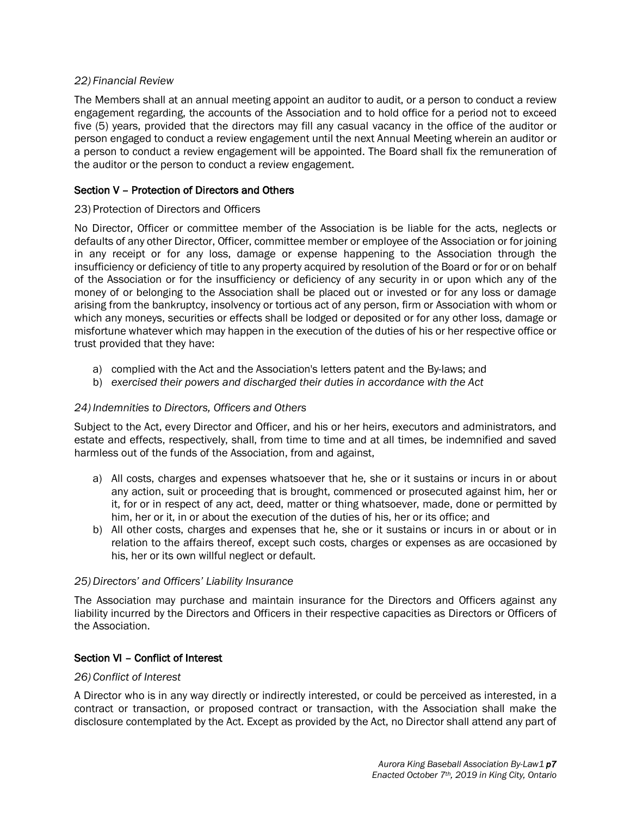# *22) Financial Review*

The Members shall at an annual meeting appoint an auditor to audit, or a person to conduct a review engagement regarding, the accounts of the Association and to hold office for a period not to exceed five (5) years, provided that the directors may fill any casual vacancy in the office of the auditor or person engaged to conduct a review engagement until the next Annual Meeting wherein an auditor or a person to conduct a review engagement will be appointed. The Board shall fix the remuneration of the auditor or the person to conduct a review engagement.

# Section V – Protection of Directors and Others

# 23) Protection of Directors and Officers

No Director, Officer or committee member of the Association is be liable for the acts, neglects or defaults of any other Director, Officer, committee member or employee of the Association or for joining in any receipt or for any loss, damage or expense happening to the Association through the insufficiency or deficiency of title to any property acquired by resolution of the Board or for or on behalf of the Association or for the insufficiency or deficiency of any security in or upon which any of the money of or belonging to the Association shall be placed out or invested or for any loss or damage arising from the bankruptcy, insolvency or tortious act of any person, firm or Association with whom or which any moneys, securities or effects shall be lodged or deposited or for any other loss, damage or misfortune whatever which may happen in the execution of the duties of his or her respective office or trust provided that they have:

- a) complied with the Act and the Association's letters patent and the By-laws; and
- b) *exercised their powers and discharged their duties in accordance with the Act*

# *24) Indemnities to Directors, Officers and Others*

Subject to the Act, every Director and Officer, and his or her heirs, executors and administrators, and estate and effects, respectively, shall, from time to time and at all times, be indemnified and saved harmless out of the funds of the Association, from and against,

- a) All costs, charges and expenses whatsoever that he, she or it sustains or incurs in or about any action, suit or proceeding that is brought, commenced or prosecuted against him, her or it, for or in respect of any act, deed, matter or thing whatsoever, made, done or permitted by him, her or it, in or about the execution of the duties of his, her or its office; and
- b) All other costs, charges and expenses that he, she or it sustains or incurs in or about or in relation to the affairs thereof, except such costs, charges or expenses as are occasioned by his, her or its own willful neglect or default.

# *25) Directors' and Officers' Liability Insurance*

The Association may purchase and maintain insurance for the Directors and Officers against any liability incurred by the Directors and Officers in their respective capacities as Directors or Officers of the Association.

# Section VI – Conflict of Interest

# *26) Conflict of Interest*

A Director who is in any way directly or indirectly interested, or could be perceived as interested, in a contract or transaction, or proposed contract or transaction, with the Association shall make the disclosure contemplated by the Act. Except as provided by the Act, no Director shall attend any part of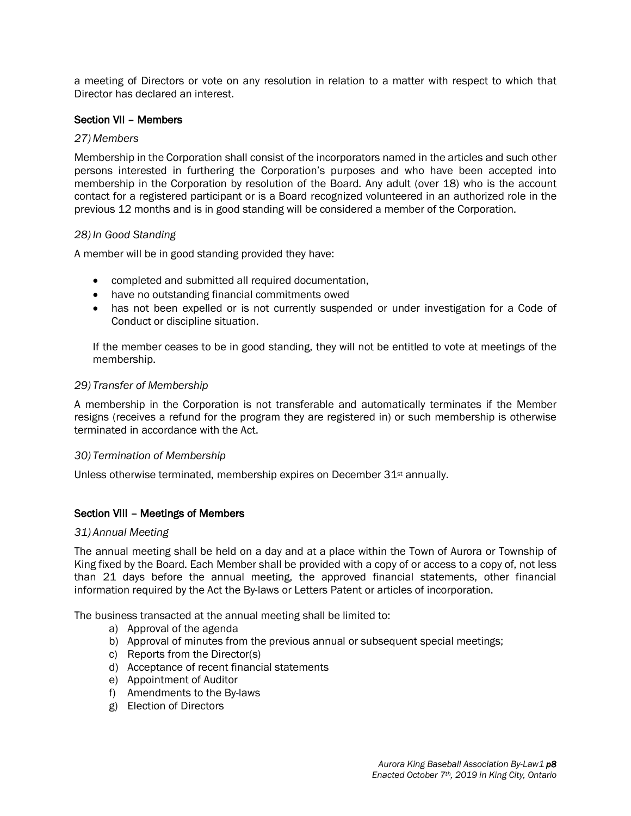a meeting of Directors or vote on any resolution in relation to a matter with respect to which that Director has declared an interest.

## Section VII – Members

### *27) Members*

Membership in the Corporation shall consist of the incorporators named in the articles and such other persons interested in furthering the Corporation's purposes and who have been accepted into membership in the Corporation by resolution of the Board. Any adult (over 18) who is the account contact for a registered participant or is a Board recognized volunteered in an authorized role in the previous 12 months and is in good standing will be considered a member of the Corporation.

### *28) In Good Standing*

A member will be in good standing provided they have:

- completed and submitted all required documentation,
- have no outstanding financial commitments owed
- has not been expelled or is not currently suspended or under investigation for a Code of Conduct or discipline situation.

If the member ceases to be in good standing, they will not be entitled to vote at meetings of the membership.

### *29) Transfer of Membership*

A membership in the Corporation is not transferable and automatically terminates if the Member resigns (receives a refund for the program they are registered in) or such membership is otherwise terminated in accordance with the Act.

### *30) Termination of Membership*

Unless otherwise terminated, membership expires on December 31<sup>st</sup> annually.

# Section VIII – Meetings of Members

### *31) Annual Meeting*

The annual meeting shall be held on a day and at a place within the Town of Aurora or Township of King fixed by the Board. Each Member shall be provided with a copy of or access to a copy of, not less than 21 days before the annual meeting, the approved financial statements, other financial information required by the Act the By-laws or Letters Patent or articles of incorporation.

The business transacted at the annual meeting shall be limited to:

- a) Approval of the agenda
- b) Approval of minutes from the previous annual or subsequent special meetings;
- c) Reports from the Director(s)
- d) Acceptance of recent financial statements
- e) Appointment of Auditor
- f) Amendments to the By-laws
- g) Election of Directors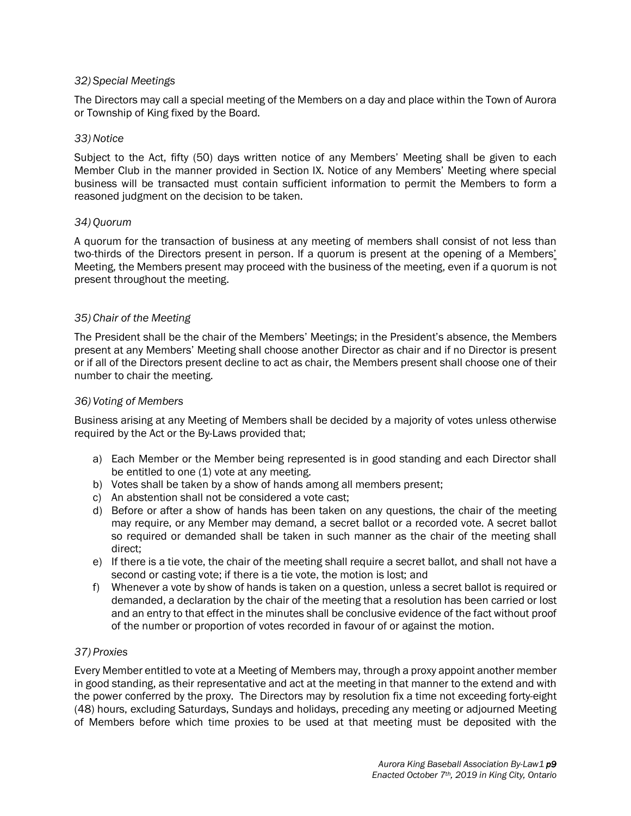## *32) Special Meetings*

The Directors may call a special meeting of the Members on a day and place within the Town of Aurora or Township of King fixed by the Board.

### *33)Notice*

Subject to the Act, fifty (50) days written notice of any Members' Meeting shall be given to each Member Club in the manner provided in Section IX. Notice of any Members' Meeting where special business will be transacted must contain sufficient information to permit the Members to form a reasoned judgment on the decision to be taken.

### *34) Quorum*

A quorum for the transaction of business at any meeting of members shall consist of not less than two-thirds of the Directors present in person. If a quorum is present at the opening of a Members' Meeting, the Members present may proceed with the business of the meeting, even if a quorum is not present throughout the meeting.

# *35) Chair of the Meeting*

The President shall be the chair of the Members' Meetings; in the President's absence, the Members present at any Members' Meeting shall choose another Director as chair and if no Director is present or if all of the Directors present decline to act as chair, the Members present shall choose one of their number to chair the meeting.

### *36) Voting of Members*

Business arising at any Meeting of Members shall be decided by a majority of votes unless otherwise required by the Act or the By-Laws provided that;

- a) Each Member or the Member being represented is in good standing and each Director shall be entitled to one (1) vote at any meeting.
- b) Votes shall be taken by a show of hands among all members present;
- c) An abstention shall not be considered a vote cast;
- d) Before or after a show of hands has been taken on any questions, the chair of the meeting may require, or any Member may demand, a secret ballot or a recorded vote. A secret ballot so required or demanded shall be taken in such manner as the chair of the meeting shall direct;
- e) If there is a tie vote, the chair of the meeting shall require a secret ballot, and shall not have a second or casting vote; if there is a tie vote, the motion is lost; and
- f) Whenever a vote by show of hands is taken on a question, unless a secret ballot is required or demanded, a declaration by the chair of the meeting that a resolution has been carried or lost and an entry to that effect in the minutes shall be conclusive evidence of the fact without proof of the number or proportion of votes recorded in favour of or against the motion.

# *37) Proxies*

Every Member entitled to vote at a Meeting of Members may, through a proxy appoint another member in good standing, as their representative and act at the meeting in that manner to the extend and with the power conferred by the proxy. The Directors may by resolution fix a time not exceeding forty-eight (48) hours, excluding Saturdays, Sundays and holidays, preceding any meeting or adjourned Meeting of Members before which time proxies to be used at that meeting must be deposited with the